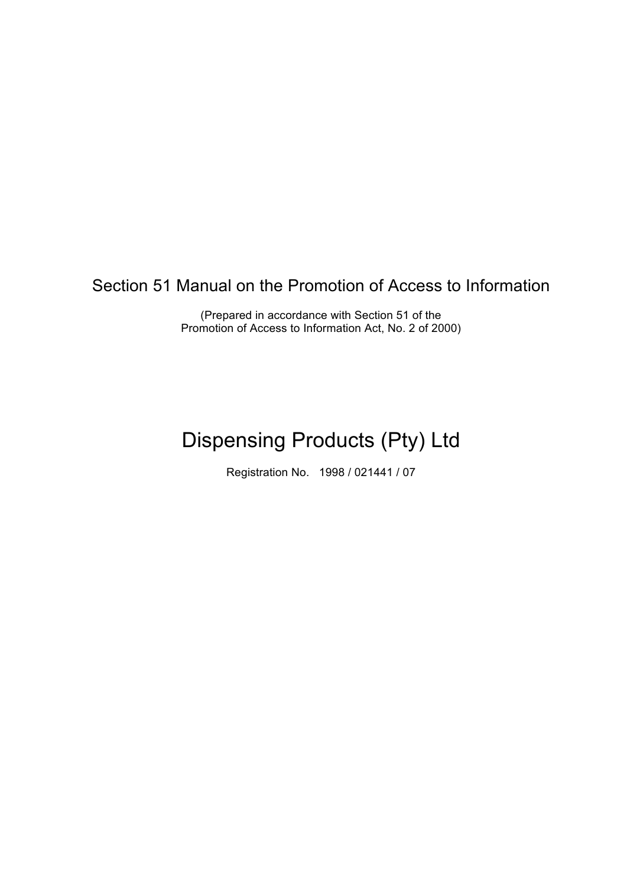Section 51 Manual on the Promotion of Access to Information

(Prepared in accordance with Section 51 of the Promotion of Access to Information Act, No. 2 of 2000)

# Dispensing Products (Pty) Ltd

Registration No. 1998 / 021441 / 07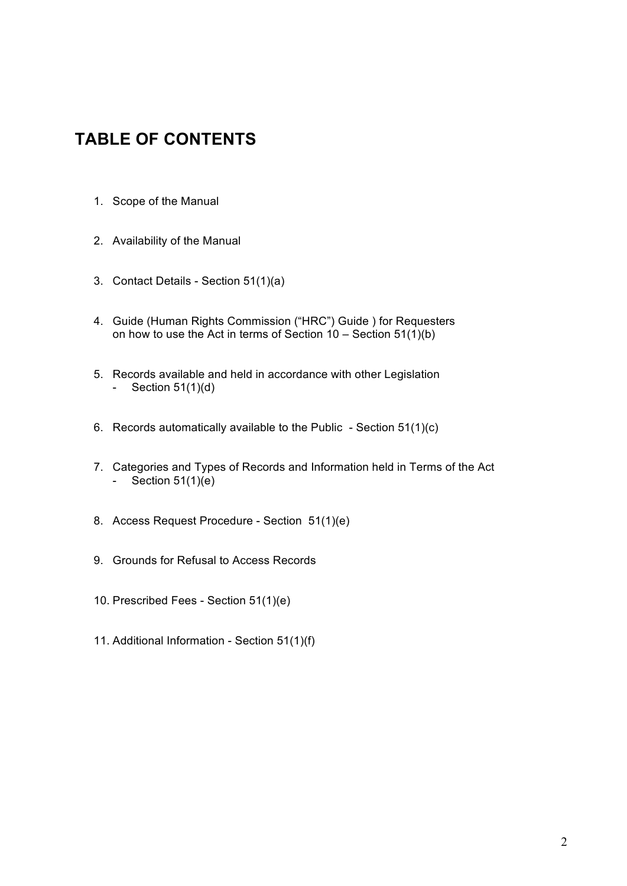# **TABLE OF CONTENTS**

- 1. Scope of the Manual
- 2. Availability of the Manual
- 3. Contact Details Section 51(1)(a)
- 4. Guide (Human Rights Commission ("HRC") Guide ) for Requesters on how to use the Act in terms of Section  $10 -$  Section  $51(1)(b)$
- 5. Records available and held in accordance with other Legislation - Section  $51(1)(d)$
- 6. Records automatically available to the Public Section 51(1)(c)
- 7. Categories and Types of Records and Information held in Terms of the Act - Section  $51(1)(e)$
- 8. Access Request Procedure Section 51(1)(e)
- 9. Grounds for Refusal to Access Records
- 10. Prescribed Fees Section 51(1)(e)
- 11. Additional Information Section 51(1)(f)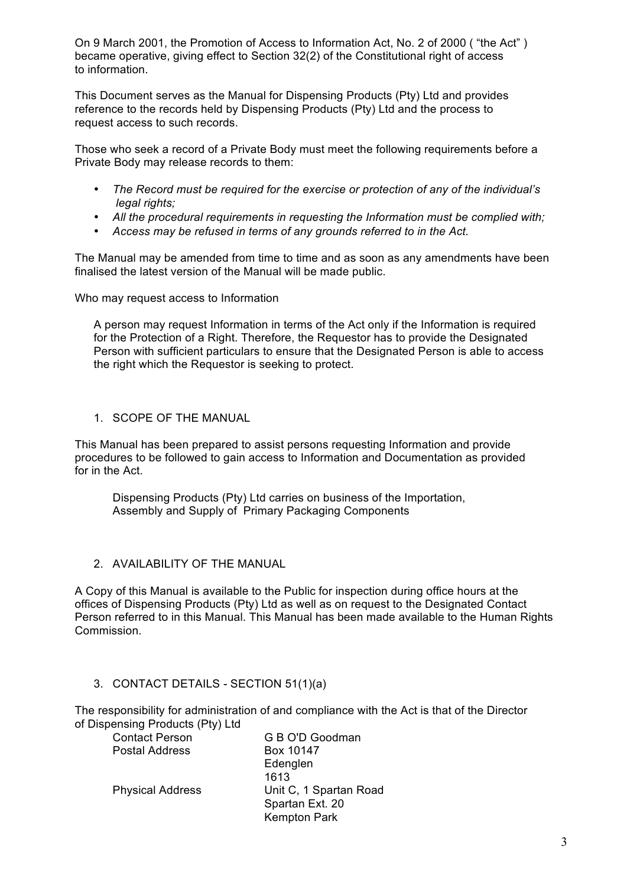On 9 March 2001, the Promotion of Access to Information Act, No. 2 of 2000 ( "the Act" ) became operative, giving effect to Section 32(2) of the Constitutional right of access to information.

This Document serves as the Manual for Dispensing Products (Pty) Ltd and provides reference to the records held by Dispensing Products (Pty) Ltd and the process to request access to such records.

Those who seek a record of a Private Body must meet the following requirements before a Private Body may release records to them:

- *The Record must be required for the exercise or protection of any of the individual's legal rights;*
- *All the procedural requirements in requesting the Information must be complied with;*
- *Access may be refused in terms of any grounds referred to in the Act.*

The Manual may be amended from time to time and as soon as any amendments have been finalised the latest version of the Manual will be made public.

Who may request access to Information

A person may request Information in terms of the Act only if the Information is required for the Protection of a Right. Therefore, the Requestor has to provide the Designated Person with sufficient particulars to ensure that the Designated Person is able to access the right which the Requestor is seeking to protect.

1. SCOPE OF THE MANUAL

This Manual has been prepared to assist persons requesting Information and provide procedures to be followed to gain access to Information and Documentation as provided for in the Act.

Dispensing Products (Pty) Ltd carries on business of the Importation, Assembly and Supply of Primary Packaging Components

2. AVAILABILITY OF THE MANUAL

A Copy of this Manual is available to the Public for inspection during office hours at the offices of Dispensing Products (Pty) Ltd as well as on request to the Designated Contact Person referred to in this Manual. This Manual has been made available to the Human Rights Commission.

#### 3. CONTACT DETAILS - SECTION 51(1)(a)

The responsibility for administration of and compliance with the Act is that of the Director of Dispensing Products (Pty) Ltd

| <b>Contact Person</b>   | G B O'D Goodman        |
|-------------------------|------------------------|
| Postal Address          | Box 10147              |
|                         | Edenglen               |
|                         | 1613                   |
| <b>Physical Address</b> | Unit C, 1 Spartan Road |
|                         | Spartan Ext. 20        |
|                         | <b>Kempton Park</b>    |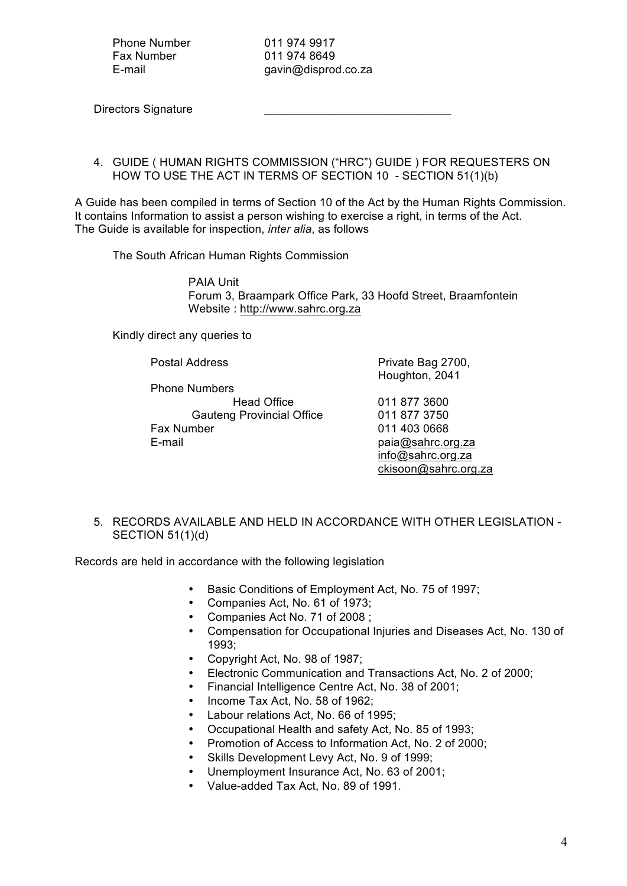Phone Number 011 974 9917 Fax Number 011 974 8649

E-mail gavin@disprod.co.za

Directors Signature

4. GUIDE ( HUMAN RIGHTS COMMISSION ("HRC") GUIDE ) FOR REQUESTERS ON HOW TO USE THE ACT IN TERMS OF SECTION 10 - SECTION 51(1)(b)

A Guide has been compiled in terms of Section 10 of the Act by the Human Rights Commission. It contains Information to assist a person wishing to exercise a right, in terms of the Act. The Guide is available for inspection, *inter alia*, as follows

The South African Human Rights Commission

PAIA Unit Forum 3, Braampark Office Park, 33 Hoofd Street, Braamfontein Website : http://www.sahrc.org.za

Kindly direct any queries to

Phone Numbers Head Office 011 877 3600 Gauteng Provincial Office 011 877 3750 Fax Number 011 403 0668 E-mail paia@sahrc.org.za

Postal Address **Private Bag 2700**, Houghton, 2041

> info@sahrc.org.za ckisoon@sahrc.org.za

5. RECORDS AVAILABLE AND HELD IN ACCORDANCE WITH OTHER LEGISLATION - SECTION 51(1)(d)

Records are held in accordance with the following legislation

- Basic Conditions of Employment Act, No. 75 of 1997;
- Companies Act, No. 61 of 1973;
- Companies Act No. 71 of 2008 ;
- Compensation for Occupational Injuries and Diseases Act, No. 130 of 1993;
- Copyright Act, No. 98 of 1987;
- Electronic Communication and Transactions Act, No. 2 of 2000;
- Financial Intelligence Centre Act, No. 38 of 2001;
- Income Tax Act, No. 58 of 1962;
- Labour relations Act, No. 66 of 1995;
- Occupational Health and safety Act, No. 85 of 1993;
- Promotion of Access to Information Act, No. 2 of 2000;
- Skills Development Levy Act, No. 9 of 1999;
- Unemployment Insurance Act, No. 63 of 2001;
- Value-added Tax Act, No. 89 of 1991.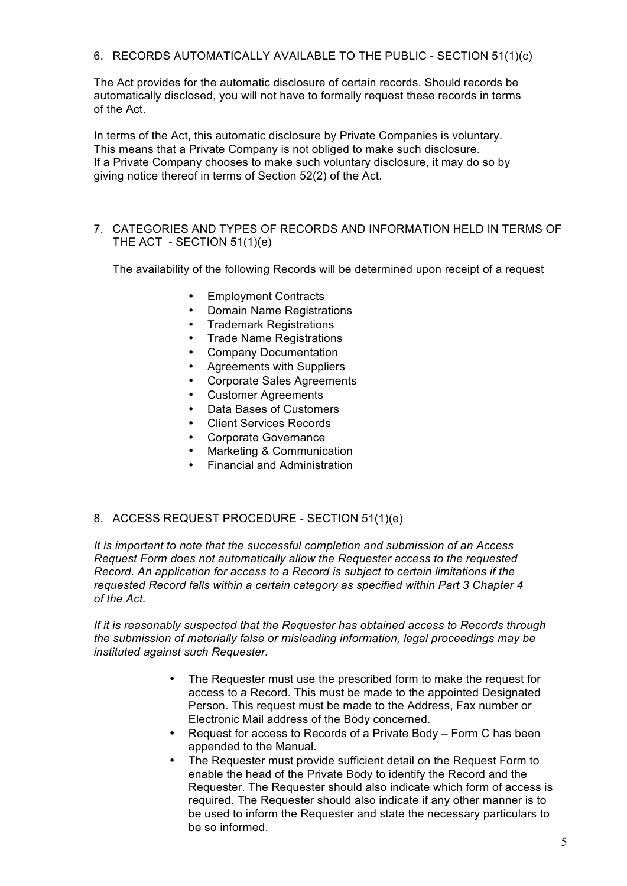6. RECORDS AUTOMATICALLY AVAILABLE TO THE PUBLIC - SECTION 51(1)(c)

The Act provides for the automatic disclosure of certain records. Should records be automatically disclosed, you will not have to formally request these records in terms of the Act.

In terms of the Act, this automatic disclosure by Private Companies is voluntary. This means that a Private Company is not obliged to make such disclosure. If a Private Company chooses to make such voluntary disclosure, it may do so by giving notice thereof in terms of Section 52(2) of the Act.

#### 7. CATEGORIES AND TYPES OF RECORDS AND INFORMATION HELD IN TERMS OF THE ACT - SECTION 51(1)(e)

The availability of the following Records will be determined upon receipt of a request

- Employment Contracts
- Domain Name Registrations
- Trademark Registrations
- Trade Name Registrations
- Company Documentation
- Agreements with Suppliers
- Corporate Sales Agreements
- Customer Agreements
- Data Bases of Customers
- Client Services Records
- Corporate Governance
- Marketing & Communication
- Financial and Administration

#### 8. ACCESS REQUEST PROCEDURE - SECTION 51(1)(e)

*It is important to note that the successful completion and submission of an Access Request Form does not automatically allow the Requester access to the requested Record. An application for access to a Record is subject to certain limitations if the requested Record falls within a certain category as specified within Part 3 Chapter 4 of the Act.*

*If it is reasonably suspected that the Requester has obtained access to Records through the submission of materially false or misleading information, legal proceedings may be instituted against such Requester.*

- The Requester must use the prescribed form to make the request for access to a Record. This must be made to the appointed Designated Person. This request must be made to the Address, Fax number or Electronic Mail address of the Body concerned.
- Request for access to Records of a Private Body Form C has been appended to the Manual.
- The Requester must provide sufficient detail on the Request Form to enable the head of the Private Body to identify the Record and the Requester. The Requester should also indicate which form of access is required. The Requester should also indicate if any other manner is to be used to inform the Requester and state the necessary particulars to be so informed.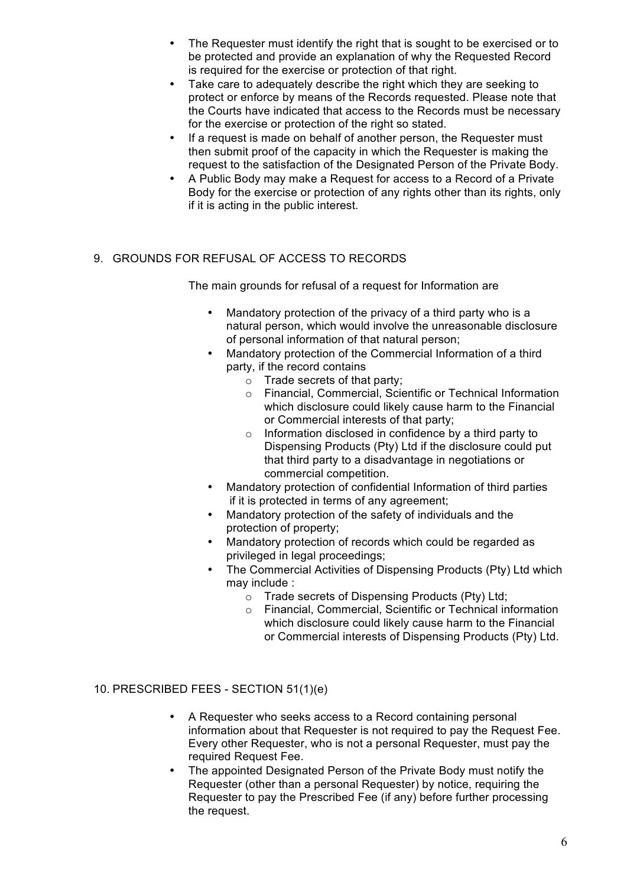- The Requester must identify the right that is sought to be exercised or to be protected and provide an explanation of why the Requested Record is required for the exercise or protection of that right.
- Take care to adequately describe the right which they are seeking to protect or enforce by means of the Records requested. Please note that the Courts have indicated that access to the Records must be necessary for the exercise or protection of the right so stated.
- If a request is made on behalf of another person, the Requester must then submit proof of the capacity in which the Requester is making the request to the satisfaction of the Designated Person of the Private Body.
- A Public Body may make a Request for access to a Record of a Private Body for the exercise or protection of any rights other than its rights, only if it is acting in the public interest.

# 9. GROUNDS FOR REFUSAL OF ACCESS TO RECORDS

The main grounds for refusal of a request for Information are

- Mandatory protection of the privacy of a third party who is a natural person, which would involve the unreasonable disclosure of personal information of that natural person;
- Mandatory protection of the Commercial Information of a third party, if the record contains
	- o Trade secrets of that party;
	- o Financial, Commercial, Scientific or Technical Information which disclosure could likely cause harm to the Financial or Commercial interests of that party;
	- o Information disclosed in confidence by a third party to Dispensing Products (Pty) Ltd if the disclosure could put that third party to a disadvantage in negotiations or commercial competition.
- Mandatory protection of confidential Information of third parties if it is protected in terms of any agreement;
- Mandatory protection of the safety of individuals and the protection of property;
- Mandatory protection of records which could be regarded as privileged in legal proceedings;
- The Commercial Activities of Dispensing Products (Pty) Ltd which may include :
	- o Trade secrets of Dispensing Products (Pty) Ltd;
	- o Financial, Commercial, Scientific or Technical information which disclosure could likely cause harm to the Financial or Commercial interests of Dispensing Products (Pty) Ltd.

# 10. PRESCRIBED FEES - SECTION 51(1)(e)

- A Requester who seeks access to a Record containing personal information about that Requester is not required to pay the Request Fee. Every other Requester, who is not a personal Requester, must pay the required Request Fee.
- The appointed Designated Person of the Private Body must notify the Requester (other than a personal Requester) by notice, requiring the Requester to pay the Prescribed Fee (if any) before further processing the request.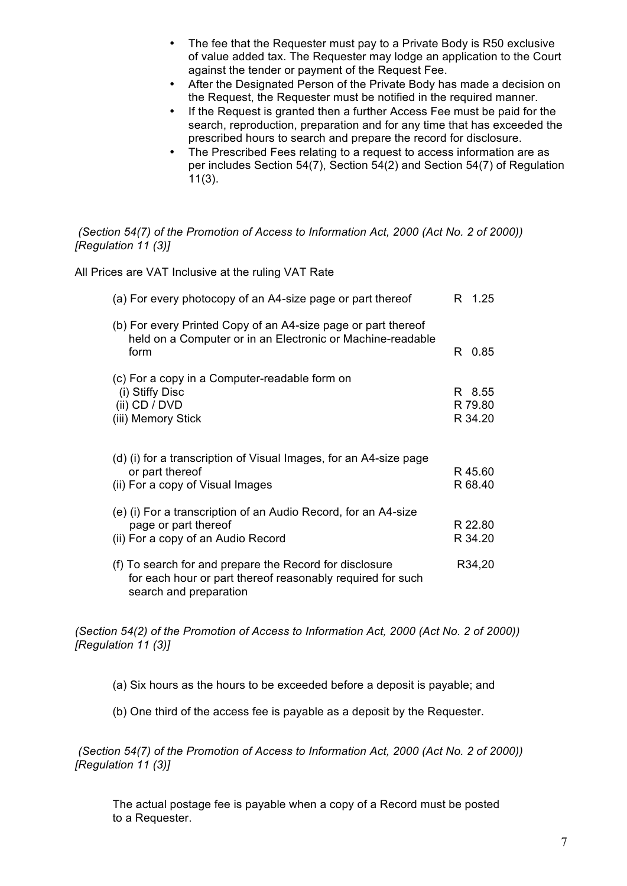- The fee that the Requester must pay to a Private Body is R50 exclusive of value added tax. The Requester may lodge an application to the Court against the tender or payment of the Request Fee.
- After the Designated Person of the Private Body has made a decision on the Request, the Requester must be notified in the required manner.
- If the Request is granted then a further Access Fee must be paid for the search, reproduction, preparation and for any time that has exceeded the prescribed hours to search and prepare the record for disclosure.
- The Prescribed Fees relating to a request to access information are as per includes Section 54(7), Section 54(2) and Section 54(7) of Regulation 11(3).

#### *(Section 54(7) of the Promotion of Access to Information Act, 2000 (Act No. 2 of 2000)) [Regulation 11 (3)]*

All Prices are VAT Inclusive at the ruling VAT Rate

| (a) For every photocopy of an A4-size page or part thereof                                                                                      | R 1.25                       |
|-------------------------------------------------------------------------------------------------------------------------------------------------|------------------------------|
| (b) For every Printed Copy of an A4-size page or part thereof<br>held on a Computer or in an Electronic or Machine-readable<br>form             | R 0.85                       |
| (c) For a copy in a Computer-readable form on<br>(i) Stiffy Disc<br>(ii) $CD / DVD$<br>(iii) Memory Stick                                       | R 8.55<br>R 79.80<br>R 34.20 |
| (d) (i) for a transcription of Visual Images, for an A4-size page<br>or part thereof<br>(ii) For a copy of Visual Images                        | R 45.60<br>R 68.40           |
| (e) (i) For a transcription of an Audio Record, for an A4-size<br>page or part thereof<br>(ii) For a copy of an Audio Record                    | R 22.80<br>R 34.20           |
| (f) To search for and prepare the Record for disclosure<br>for each hour or part thereof reasonably required for such<br>search and preparation | R34,20                       |

*(Section 54(2) of the Promotion of Access to Information Act, 2000 (Act No. 2 of 2000)) [Regulation 11 (3)]*

- (a) Six hours as the hours to be exceeded before a deposit is payable; and
- (b) One third of the access fee is payable as a deposit by the Requester.

*(Section 54(7) of the Promotion of Access to Information Act, 2000 (Act No. 2 of 2000)) [Regulation 11 (3)]*

The actual postage fee is payable when a copy of a Record must be posted to a Requester.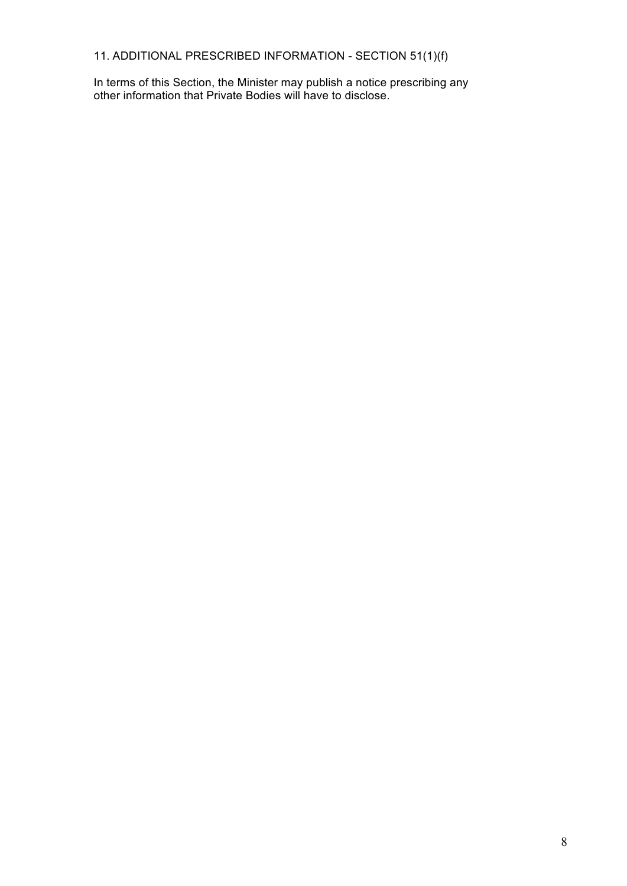11. ADDITIONAL PRESCRIBED INFORMATION - SECTION 51(1)(f)

In terms of this Section, the Minister may publish a notice prescribing any other information that Private Bodies will have to disclose.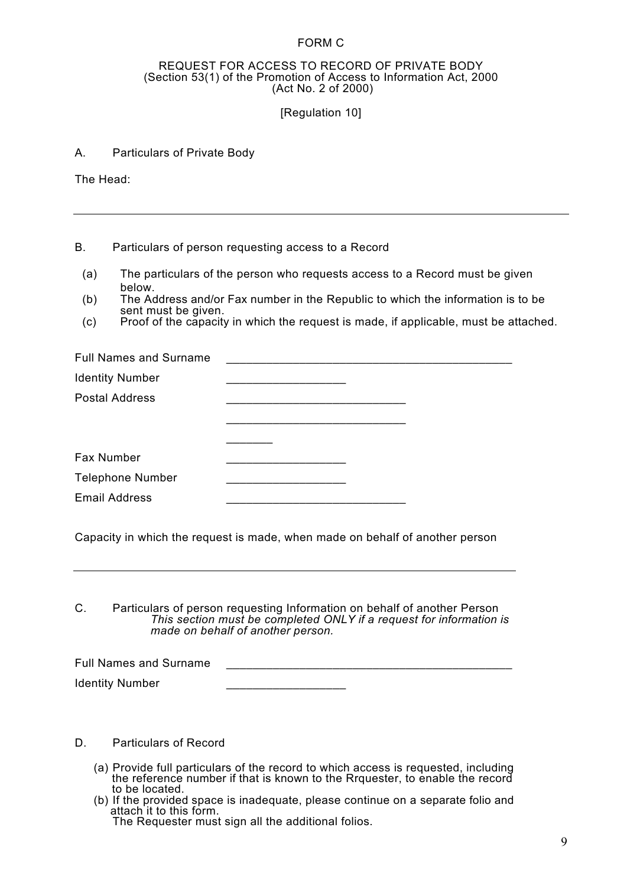#### FORM C

#### REQUEST FOR ACCESS TO RECORD OF PRIVATE BODY (Section 53(1) of the Promotion of Access to Information Act, 2000 (Act No. 2 of 2000)

#### [Regulation 10]

#### A. Particulars of Private Body

The Head:

#### B. Particulars of person requesting access to a Record

- (a) The particulars of the person who requests access to a Record must be given below.
- (b) The Address and/or Fax number in the Republic to which the information is to be sent must be given.
- (c) Proof of the capacity in which the request is made, if applicable, must be attached.

| <b>Full Names and Surname</b> |  |
|-------------------------------|--|
| <b>Identity Number</b>        |  |
| <b>Postal Address</b>         |  |
|                               |  |
|                               |  |
| Fax Number                    |  |
| <b>Telephone Number</b>       |  |
| <b>Email Address</b>          |  |
|                               |  |

Capacity in which the request is made, when made on behalf of another person

C. Particulars of person requesting Information on behalf of another Person *This section must be completed ONLY if a request for information is made on behalf of another person.*

Full Names and Surname Identity Number

D. Particulars of Record

- (a) Provide full particulars of the record to which access is requested, including the reference number if that is known to the Rrquester, to enable the record to be located.
- (b) If the provided space is inadequate, please continue on a separate folio and attach it to this form. The Requester must sign all the additional folios.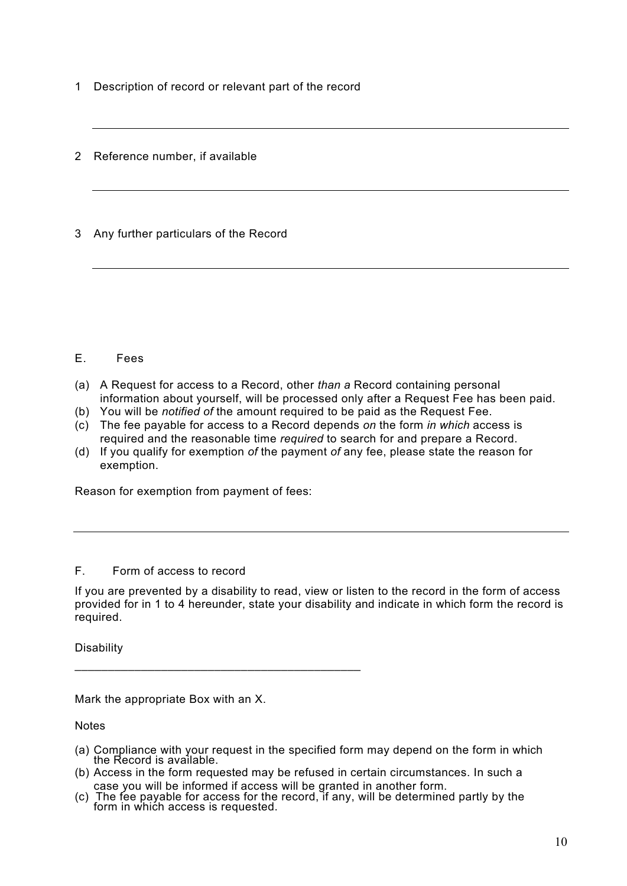1 Description of record or relevant part of the record

2 Reference number, if available

3 Any further particulars of the Record

#### E. Fees

- (a) A Request for access to a Record, other *than a* Record containing personal information about yourself, will be processed only after a Request Fee has been paid.
- (b) You will be *notified of* the amount required to be paid as the Request Fee.
- (c) The fee payable for access to a Record depends *on* the form *in which* access is required and the reasonable time *required* to search for and prepare a Record.
- (d) If you qualify for exemption *of* the payment *of* any fee, please state the reason for exemption.

Reason for exemption from payment of fees:

# F. Form of access to record

If you are prevented by a disability to read, view or listen to the record in the form of access provided for in 1 to 4 hereunder, state your disability and indicate in which form the record is required.

**Disability** 

Mark the appropriate Box with an X.

\_\_\_\_\_\_\_\_\_\_\_\_\_\_\_\_\_\_\_\_\_\_\_\_\_\_\_\_\_\_\_\_\_\_\_\_\_\_\_\_\_\_\_

**Notes** 

- (a) Compliance with your request in the specified form may depend on the form in which the Record is available.
- (b) Access in the form requested may be refused in certain circumstances. In such a case you will be informed if access will be granted in another form.
- (c) The fee payable for access for the record, if any, will be determined partly by the form in which access is requested.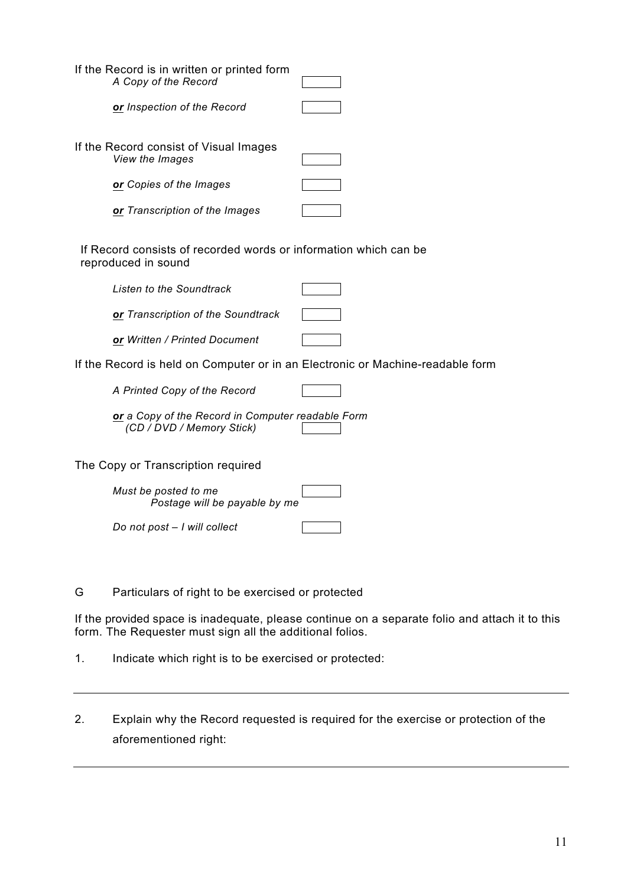| If the Record is in written or printed form<br>A Copy of the Record                     |  |
|-----------------------------------------------------------------------------------------|--|
| <b>or</b> Inspection of the Record                                                      |  |
| If the Record consist of Visual Images<br>View the Images                               |  |
| <b>or</b> Copies of the Images                                                          |  |
| or Transcription of the Images                                                          |  |
| If Record consists of recorded words or information which can be<br>reproduced in sound |  |
| Listen to the Soundtrack                                                                |  |
| <b>or</b> Transcription of the Soundtrack                                               |  |
| <b>or</b> Written / Printed Document                                                    |  |
|                                                                                         |  |

If the Record is held on Computer or in an Electronic or Machine-readable form

*A Printed Copy of the Record*

*or a Copy of the Record in Computer readable Form (CD / DVD / Memory Stick)*

The Copy or Transcription required

*Must be posted to me Postage will be payable by me*

*Do not post – I will collect*

G Particulars of right to be exercised or protected

If the provided space is inadequate, please continue on a separate folio and attach it to this form. The Requester must sign all the additional folios.

- 1. Indicate which right is to be exercised or protected:
- 2. Explain why the Record requested is required for the exercise or protection of the aforementioned right: